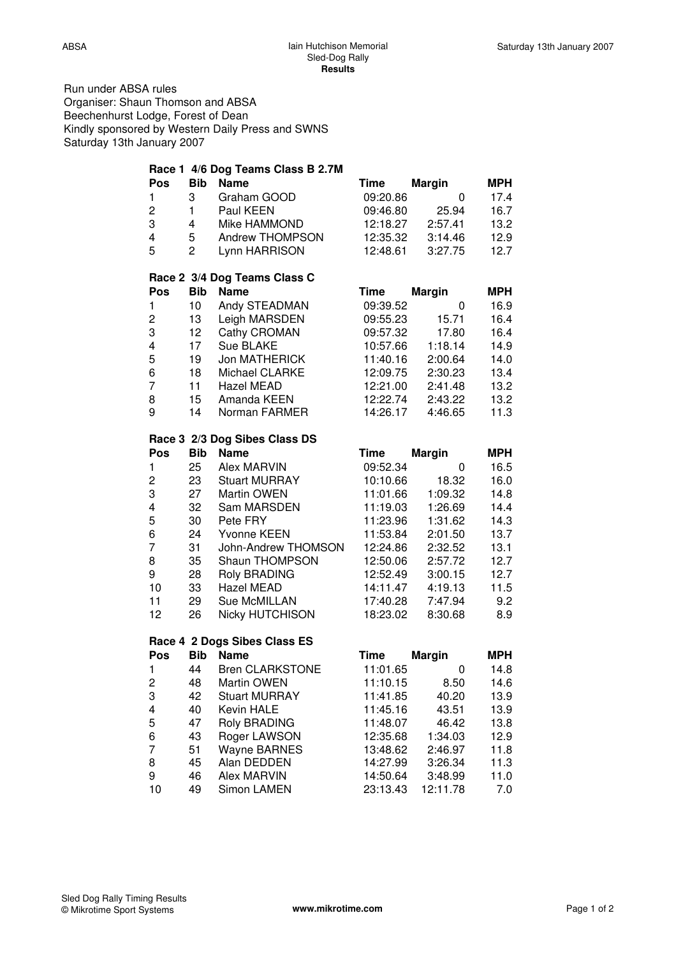Run under ABSA rules Organiser: Shaun Thomson and ABSA Beechenhurst Lodge, Forest of Dean Kindly sponsored by Western Daily Press and SWNS Saturday 13th January 2007

|              |                | Race 1 4/6 Dog Teams Class B 2.7M |             |               |            |
|--------------|----------------|-----------------------------------|-------------|---------------|------------|
| Pos          | <b>Bib</b>     | <b>Name</b>                       | <b>Time</b> | <b>Margin</b> | <b>MPH</b> |
| 1            | 3              | Graham GOOD                       | 09:20.86    | $\mathbf 0$   | 17.4       |
| 2            | $\mathbf{1}$   | Paul KEEN                         | 09:46.80    | 25.94         | 16.7       |
| 3            | 4              | Mike HAMMOND                      | 12:18.27    | 2:57.41       | 13.2       |
| 4            | 5              | Andrew THOMPSON                   | 12:35.32    | 3:14.46       | 12.9       |
| 5            | $\overline{c}$ | Lynn HARRISON                     | 12:48.61    | 3:27.75       | 12.7       |
|              |                | Race 2 3/4 Dog Teams Class C      |             |               |            |
| Pos          | <b>Bib</b>     | <b>Name</b>                       | <b>Time</b> | <b>Margin</b> | <b>MPH</b> |
| $\mathbf{1}$ | 10             | Andy STEADMAN                     | 09:39.52    | 0             | 16.9       |
| 2            | 13             | Leigh MARSDEN                     | 09:55.23    | 15.71         | 16.4       |
| 3            | 12             | Cathy CROMAN                      | 09:57.32    | 17.80         | 16.4       |
| 4            | 17             | Sue BLAKE                         | 10:57.66    | 1:18.14       | 14.9       |
| 5            | 19             | Jon MATHERICK                     | 11:40.16    | 2:00.64       | 14.0       |
| 6            | 18             | Michael CLARKE                    | 12:09.75    | 2:30.23       | 13.4       |
| 7            | 11             | Hazel MEAD                        | 12:21.00    | 2:41.48       | 13.2       |
| 8            | 15             | Amanda KEEN                       | 12:22.74    | 2:43.22       | 13.2       |
| 9            | 14             | Norman FARMER                     | 14:26.17    | 4:46.65       | 11.3       |
|              |                | Race 3 2/3 Dog Sibes Class DS     |             |               |            |
| Pos          | <b>Bib</b>     | <b>Name</b>                       | <b>Time</b> | <b>Margin</b> | <b>MPH</b> |
| 1            | 25             | <b>Alex MARVIN</b>                | 09:52.34    | 0             | 16.5       |
| 2            | 23             | <b>Stuart MURRAY</b>              | 10:10.66    | 18.32         | 16.0       |
| 3            | 27             | Martin OWEN                       | 11:01.66    | 1:09.32       | 14.8       |
| 4            | 32             | Sam MARSDEN                       | 11:19.03    | 1:26.69       | 14.4       |
| 5            | 30             | Pete FRY                          | 11:23.96    | 1:31.62       | 14.3       |
| 6            | 24             | Yvonne KEEN                       | 11:53.84    | 2:01.50       | 13.7       |
| 7            | 31             | John-Andrew THOMSON               | 12:24.86    | 2:32.52       | 13.1       |
| 8            | 35             | Shaun THOMPSON                    | 12:50.06    | 2:57.72       | 12.7       |
| 9            | 28             | <b>Roly BRADING</b>               | 12:52.49    | 3:00.15       | 12.7       |
| 10           | 33             | Hazel MEAD                        | 14:11.47    | 4:19.13       | 11.5       |
| 11           | 29             | Sue McMILLAN                      | 17:40.28    | 7:47.94       | 9.2        |
| 12           | 26             | Nicky HUTCHISON                   | 18:23.02    | 8:30.68       | 8.9        |
|              |                | Race 4 2 Dogs Sibes Class ES      |             |               |            |
| Pos          | <b>Bib</b>     | <b>Name</b>                       | <b>Time</b> | <b>Margin</b> | <b>MPH</b> |
| 1.           |                | 44 Bren CLARKSTONE                | 11:01.65    | 0             | 14.8       |
| 2            | 48             | Martin OWEN                       | 11:10.15    | 8.50          | 14.6       |
| 3            | 42             | <b>Stuart MURRAY</b>              | 11:41.85    | 40.20         | 13.9       |
| 4            | 40             | Kevin HALE                        | 11:45.16    | 43.51         | 13.9       |
| 5            | 47             | <b>Roly BRADING</b>               | 11:48.07    | 46.42         | 13.8       |
| 6            | 43             | Roger LAWSON                      | 12:35.68    | 1:34.03       | 12.9       |
| 7            | 51             | <b>Wayne BARNES</b>               | 13:48.62    | 2:46.97       | 11.8       |
| 8            | 45             | Alan DEDDEN                       | 14:27.99    | 3:26.34       | 11.3       |
| 9            | 46             | Alex MARVIN                       | 14:50.64    | 3:48.99       | 11.0       |
| 10           | 49             | Simon LAMEN                       | 23:13.43    | 12:11.78      | 7.0        |